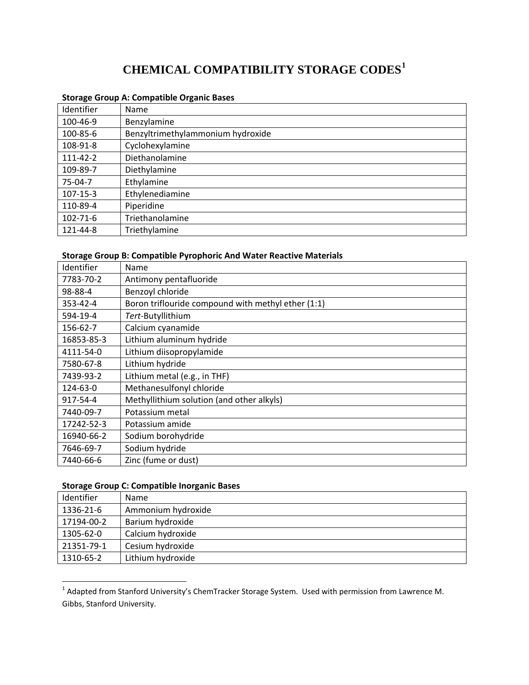# **CHEMICAL COMPATIBILITY STORAGE CODES[1](#page-0-0)**

| Identifier     | Name                              |
|----------------|-----------------------------------|
| 100-46-9       | Benzylamine                       |
| 100-85-6       | Benzyltrimethylammonium hydroxide |
| 108-91-8       | Cyclohexylamine                   |
| $111 - 42 - 2$ | Diethanolamine                    |
| 109-89-7       | Diethylamine                      |
| 75-04-7        | Ethylamine                        |
| $107 - 15 - 3$ | Ethylenediamine                   |
| 110-89-4       | Piperidine                        |
| 102-71-6       | Triethanolamine                   |
| 121-44-8       | Triethylamine                     |

#### **Storage Group A: Compatible Organic Bases**

#### **Storage Group B: Compatible Pyrophoric And Water Reactive Materials**

| Identifier     | Name                                               |
|----------------|----------------------------------------------------|
| 7783-70-2      | Antimony pentafluoride                             |
| 98-88-4        | Benzoyl chloride                                   |
| $353 - 42 - 4$ | Boron triflouride compound with methyl ether (1:1) |
| 594-19-4       | Tert-Butyllithium                                  |
| 156-62-7       | Calcium cyanamide                                  |
| 16853-85-3     | Lithium aluminum hydride                           |
| 4111-54-0      | Lithium diisopropylamide                           |
| 7580-67-8      | Lithium hydride                                    |
| 7439-93-2      | Lithium metal (e.g., in THF)                       |
| 124-63-0       | Methanesulfonyl chloride                           |
| 917-54-4       | Methyllithium solution (and other alkyls)          |
| 7440-09-7      | Potassium metal                                    |
| 17242-52-3     | Potassium amide                                    |
| 16940-66-2     | Sodium borohydride                                 |
| 7646-69-7      | Sodium hydride                                     |
| 7440-66-6      | Zinc (fume or dust)                                |

#### **Storage Group C: Compatible Inorganic Bases**

| Identifier | <b>Name</b>        |
|------------|--------------------|
| 1336-21-6  | Ammonium hydroxide |
| 17194-00-2 | Barium hydroxide   |
| 1305-62-0  | Calcium hydroxide  |
| 21351-79-1 | Cesium hydroxide   |
| 1310-65-2  | Lithium hydroxide  |

<span id="page-0-0"></span>  $^1$  Adapted from Stanford University's ChemTracker Storage System. Used with permission from Lawrence M. Gibbs, Stanford University.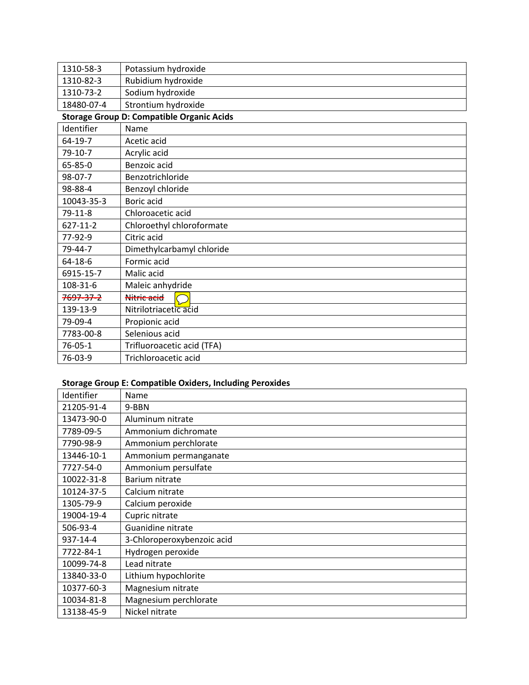| 1310-58-3     | Potassium hydroxide                              |
|---------------|--------------------------------------------------|
| 1310-82-3     | Rubidium hydroxide                               |
| 1310-73-2     | Sodium hydroxide                                 |
| 18480-07-4    | Strontium hydroxide                              |
|               | <b>Storage Group D: Compatible Organic Acids</b> |
| Identifier    | Name                                             |
| $64-19-7$     | Acetic acid                                      |
| $79-10-7$     | Acrylic acid                                     |
| $65 - 85 - 0$ | Benzoic acid                                     |
| 98-07-7       | Benzotrichloride                                 |
| 98-88-4       | Benzoyl chloride                                 |
| 10043-35-3    | Boric acid                                       |
| $79-11-8$     | Chloroacetic acid                                |
| 627-11-2      | Chloroethyl chloroformate                        |
| 77-92-9       | Citric acid                                      |
| 79-44-7       | Dimethylcarbamyl chloride                        |
| $64 - 18 - 6$ | Formic acid                                      |
| 6915-15-7     | Malic acid                                       |
| 108-31-6      | Maleic anhydride                                 |
| 7697-37-2     | Nitric acid                                      |
| 139-13-9      | Nitrilotriacetic acid                            |
| 79-09-4       | Propionic acid                                   |
| 7783-00-8     | Selenious acid                                   |
| $76 - 05 - 1$ | Trifluoroacetic acid (TFA)                       |
| 76-03-9       | Trichloroacetic acid                             |

## **Storage Group E: Compatible Oxiders, Including Peroxides**

| Identifier | Name                       |
|------------|----------------------------|
| 21205-91-4 | 9-BBN                      |
| 13473-90-0 | Aluminum nitrate           |
| 7789-09-5  | Ammonium dichromate        |
| 7790-98-9  | Ammonium perchlorate       |
| 13446-10-1 | Ammonium permanganate      |
| 7727-54-0  | Ammonium persulfate        |
| 10022-31-8 | Barium nitrate             |
| 10124-37-5 | Calcium nitrate            |
| 1305-79-9  | Calcium peroxide           |
| 19004-19-4 | Cupric nitrate             |
| 506-93-4   | Guanidine nitrate          |
| 937-14-4   | 3-Chloroperoxybenzoic acid |
| 7722-84-1  | Hydrogen peroxide          |
| 10099-74-8 | Lead nitrate               |
| 13840-33-0 | Lithium hypochlorite       |
| 10377-60-3 | Magnesium nitrate          |
| 10034-81-8 | Magnesium perchlorate      |
| 13138-45-9 | Nickel nitrate             |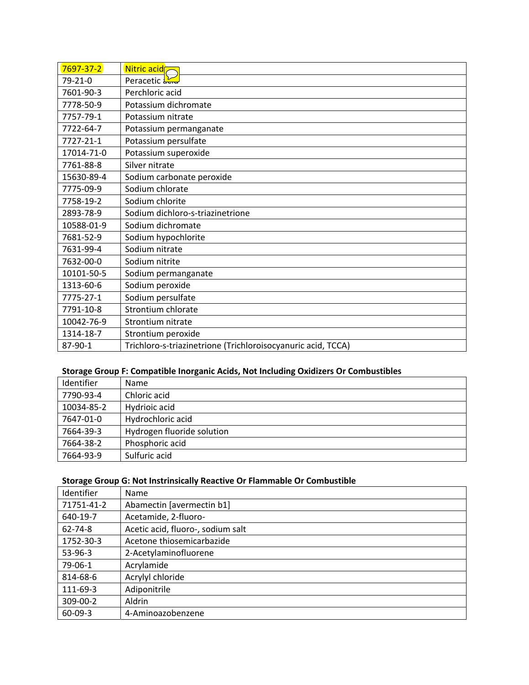| $7697 - 37 - 2$ | Nitric acid <sub>7</sub>                                     |
|-----------------|--------------------------------------------------------------|
| $79 - 21 - 0$   | Peracetic and                                                |
| 7601-90-3       | Perchloric acid                                              |
| 7778-50-9       | Potassium dichromate                                         |
| 7757-79-1       | Potassium nitrate                                            |
| 7722-64-7       | Potassium permanganate                                       |
| 7727-21-1       | Potassium persulfate                                         |
| 17014-71-0      | Potassium superoxide                                         |
| 7761-88-8       | Silver nitrate                                               |
| 15630-89-4      | Sodium carbonate peroxide                                    |
| 7775-09-9       | Sodium chlorate                                              |
| 7758-19-2       | Sodium chlorite                                              |
| 2893-78-9       | Sodium dichloro-s-triazinetrione                             |
| 10588-01-9      | Sodium dichromate                                            |
| 7681-52-9       | Sodium hypochlorite                                          |
| 7631-99-4       | Sodium nitrate                                               |
| 7632-00-0       | Sodium nitrite                                               |
| 10101-50-5      | Sodium permanganate                                          |
| 1313-60-6       | Sodium peroxide                                              |
| 7775-27-1       | Sodium persulfate                                            |
| 7791-10-8       | Strontium chlorate                                           |
| 10042-76-9      | Strontium nitrate                                            |
| 1314-18-7       | Strontium peroxide                                           |
| 87-90-1         | Trichloro-s-triazinetrione (Trichloroisocyanuric acid, TCCA) |

#### **Storage Group F: Compatible Inorganic Acids, Not Including Oxidizers Or Combustibles**

| Identifier | Name                       |
|------------|----------------------------|
| 7790-93-4  | Chloric acid               |
| 10034-85-2 | Hydrioic acid              |
| 7647-01-0  | Hydrochloric acid          |
| 7664-39-3  | Hydrogen fluoride solution |
| 7664-38-2  | Phosphoric acid            |
| 7664-93-9  | Sulfuric acid              |

#### **Storage Group G: Not Instrinsically Reactive Or Flammable Or Combustible**

| Identifier    | Name                              |
|---------------|-----------------------------------|
| 71751-41-2    | Abamectin [avermectin b1]         |
| 640-19-7      | Acetamide, 2-fluoro-              |
| 62-74-8       | Acetic acid, fluoro-, sodium salt |
| 1752-30-3     | Acetone thiosemicarbazide         |
| 53-96-3       | 2-Acetylaminofluorene             |
| 79-06-1       | Acrylamide                        |
| 814-68-6      | Acrylyl chloride                  |
| 111-69-3      | Adiponitrile                      |
| 309-00-2      | Aldrin                            |
| $60 - 09 - 3$ | 4-Aminoazobenzene                 |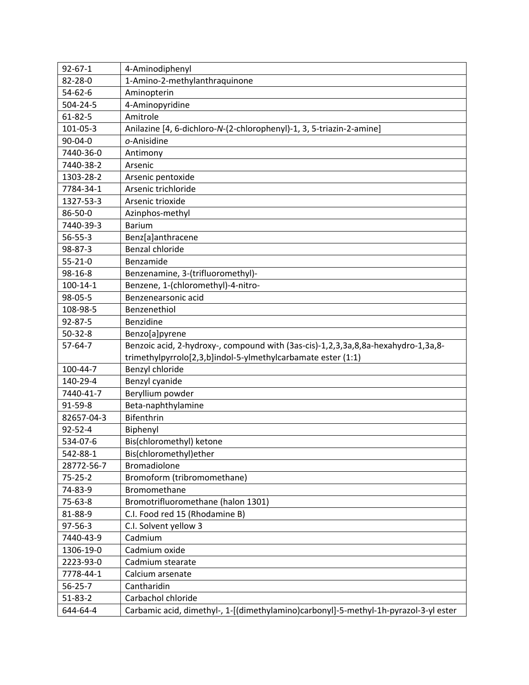| $92 - 67 - 1$  | 4-Aminodiphenyl                                                                   |
|----------------|-----------------------------------------------------------------------------------|
| 82-28-0        | 1-Amino-2-methylanthraquinone                                                     |
| $54 - 62 - 6$  | Aminopterin                                                                       |
| 504-24-5       | 4-Aminopyridine                                                                   |
| $61 - 82 - 5$  | Amitrole                                                                          |
| 101-05-3       | Anilazine [4, 6-dichloro-N-(2-chlorophenyl)-1, 3, 5-triazin-2-amine]              |
| $90 - 04 - 0$  | o-Anisidine                                                                       |
| 7440-36-0      | Antimony                                                                          |
| 7440-38-2      | Arsenic                                                                           |
| 1303-28-2      | Arsenic pentoxide                                                                 |
| 7784-34-1      | Arsenic trichloride                                                               |
| 1327-53-3      | Arsenic trioxide                                                                  |
| 86-50-0        | Azinphos-methyl                                                                   |
| 7440-39-3      | <b>Barium</b>                                                                     |
| $56 - 55 - 3$  | Benz[a]anthracene                                                                 |
| 98-87-3        | Benzal chloride                                                                   |
| $55 - 21 - 0$  | Benzamide                                                                         |
| 98-16-8        | Benzenamine, 3-(trifluoromethyl)-                                                 |
| $100 - 14 - 1$ | Benzene, 1-(chloromethyl)-4-nitro-                                                |
| 98-05-5        | Benzenearsonic acid                                                               |
| 108-98-5       | Benzenethiol                                                                      |
| 92-87-5        | Benzidine                                                                         |
| $50 - 32 - 8$  | Benzo[a]pyrene                                                                    |
| $57 - 64 - 7$  | Benzoic acid, 2-hydroxy-, compound with (3as-cis)-1,2,3,3a,8,8a-hexahydro-1,3a,8- |
|                | trimethylpyrrolo[2,3,b]indol-5-ylmethylcarbamate ester (1:1)                      |
| 100-44-7       | Benzyl chloride                                                                   |
| 140-29-4       | Benzyl cyanide                                                                    |
| 7440-41-7      | Beryllium powder                                                                  |
| 91-59-8        | Beta-naphthylamine                                                                |
| 82657-04-3     | Bifenthrin                                                                        |
| $92 - 52 - 4$  | Biphenyl                                                                          |
| 534-07-6       | Bis(chloromethyl) ketone                                                          |
| 542-88-1       | Bis(chloromethyl)ether                                                            |
| 28772-56-7     | <b>Bromadiolone</b>                                                               |
| $75 - 25 - 2$  | Bromoform (tribromomethane)                                                       |
| 74-83-9        | Bromomethane                                                                      |
| 75-63-8        | Bromotrifluoromethane (halon 1301)                                                |
| 81-88-9        | C.I. Food red 15 (Rhodamine B)                                                    |
| $97 - 56 - 3$  | C.I. Solvent yellow 3                                                             |
| 7440-43-9      | Cadmium                                                                           |
| 1306-19-0      | Cadmium oxide                                                                     |
| 2223-93-0      |                                                                                   |
|                | Cadmium stearate                                                                  |
| 7778-44-1      | Calcium arsenate                                                                  |
| $56 - 25 - 7$  | Cantharidin                                                                       |
| $51 - 83 - 2$  | Carbachol chloride                                                                |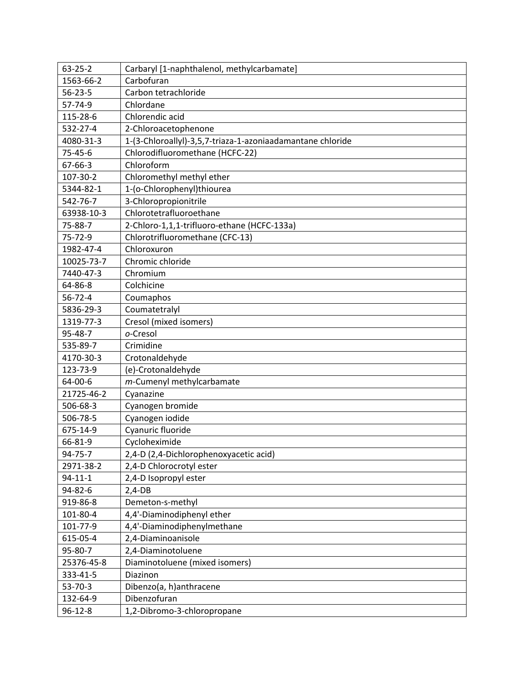| $63 - 25 - 2$ | Carbaryl [1-naphthalenol, methylcarbamate]                 |
|---------------|------------------------------------------------------------|
| 1563-66-2     | Carbofuran                                                 |
| $56 - 23 - 5$ | Carbon tetrachloride                                       |
| 57-74-9       | Chlordane                                                  |
| 115-28-6      | Chlorendic acid                                            |
| 532-27-4      | 2-Chloroacetophenone                                       |
| 4080-31-3     | 1-(3-Chloroallyl)-3,5,7-triaza-1-azoniaadamantane chloride |
| $75 - 45 - 6$ | Chlorodifluoromethane (HCFC-22)                            |
| $67 - 66 - 3$ | Chloroform                                                 |
| 107-30-2      | Chloromethyl methyl ether                                  |
| 5344-82-1     | 1-(o-Chlorophenyl)thiourea                                 |
| 542-76-7      | 3-Chloropropionitrile                                      |
| 63938-10-3    | Chlorotetrafluoroethane                                    |
| 75-88-7       | 2-Chloro-1,1,1-trifluoro-ethane (HCFC-133a)                |
| 75-72-9       | Chlorotrifluoromethane (CFC-13)                            |
| 1982-47-4     | Chloroxuron                                                |
| 10025-73-7    | Chromic chloride                                           |
| 7440-47-3     | Chromium                                                   |
| 64-86-8       | Colchicine                                                 |
| $56 - 72 - 4$ | Coumaphos                                                  |
| 5836-29-3     | Coumatetralyl                                              |
| 1319-77-3     | Cresol (mixed isomers)                                     |
| 95-48-7       | o-Cresol                                                   |
| 535-89-7      | Crimidine                                                  |
| 4170-30-3     | Crotonaldehyde                                             |
| 123-73-9      | (e)-Crotonaldehyde                                         |
| 64-00-6       | m-Cumenyl methylcarbamate                                  |
| 21725-46-2    | Cyanazine                                                  |
| 506-68-3      | Cyanogen bromide                                           |
| 506-78-5      | Cyanogen iodide                                            |
| 675-14-9      | Cyanuric fluoride                                          |
| 66-81-9       | Cycloheximide                                              |
| 94-75-7       | 2,4-D (2,4-Dichlorophenoxyacetic acid)                     |
| 2971-38-2     | 2,4-D Chlorocrotyl ester                                   |
| $94 - 11 - 1$ | 2,4-D Isopropyl ester                                      |
| 94-82-6       | $2,4-DB$                                                   |
| 919-86-8      | Demeton-s-methyl                                           |
| 101-80-4      | 4,4'-Diaminodiphenyl ether                                 |
| 101-77-9      | 4,4'-Diaminodiphenylmethane                                |
| 615-05-4      | 2,4-Diaminoanisole                                         |
| 95-80-7       | 2,4-Diaminotoluene                                         |
| 25376-45-8    | Diaminotoluene (mixed isomers)                             |
| 333-41-5      | Diazinon                                                   |
| $53 - 70 - 3$ | Dibenzo(a, h)anthracene                                    |
| 132-64-9      | Dibenzofuran                                               |
| $96 - 12 - 8$ | 1,2-Dibromo-3-chloropropane                                |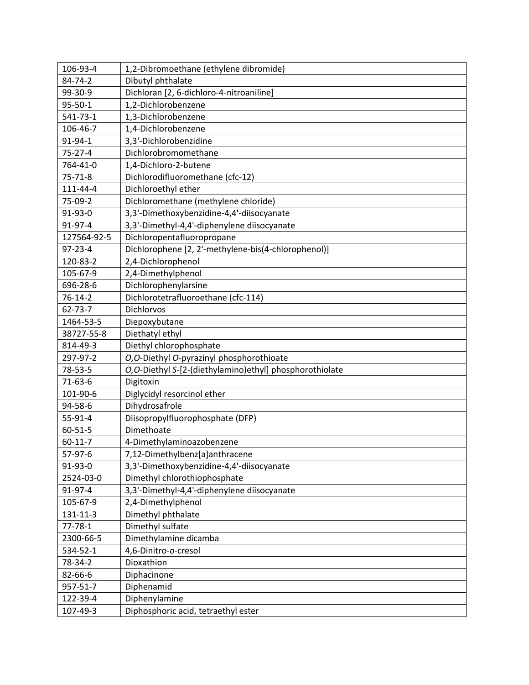| 106-93-4      | 1,2-Dibromoethane (ethylene dibromide)                  |
|---------------|---------------------------------------------------------|
| 84-74-2       | Dibutyl phthalate                                       |
| 99-30-9       | Dichloran [2, 6-dichloro-4-nitroaniline]                |
| 95-50-1       | 1,2-Dichlorobenzene                                     |
| 541-73-1      | 1,3-Dichlorobenzene                                     |
| 106-46-7      | 1,4-Dichlorobenzene                                     |
| 91-94-1       | 3,3'-Dichlorobenzidine                                  |
| $75 - 27 - 4$ | Dichlorobromomethane                                    |
| 764-41-0      | 1,4-Dichloro-2-butene                                   |
| $75 - 71 - 8$ | Dichlorodifluoromethane (cfc-12)                        |
| 111-44-4      | Dichloroethyl ether                                     |
| 75-09-2       | Dichloromethane (methylene chloride)                    |
| 91-93-0       | 3,3'-Dimethoxybenzidine-4,4'-diisocyanate               |
| 91-97-4       | 3,3'-Dimethyl-4,4'-diphenylene diisocyanate             |
| 127564-92-5   | Dichloropentafluoropropane                              |
| $97 - 23 - 4$ | Dichlorophene [2, 2'-methylene-bis(4-chlorophenol)]     |
| 120-83-2      | 2,4-Dichlorophenol                                      |
| 105-67-9      | 2,4-Dimethylphenol                                      |
| 696-28-6      | Dichlorophenylarsine                                    |
| $76 - 14 - 2$ | Dichlorotetrafluoroethane (cfc-114)                     |
| $62 - 73 - 7$ | Dichlorvos                                              |
| 1464-53-5     | Diepoxybutane                                           |
| 38727-55-8    | Diethatyl ethyl                                         |
| 814-49-3      | Diethyl chlorophosphate                                 |
| 297-97-2      | O,O-Diethyl O-pyrazinyl phosphorothioate                |
| 78-53-5       | O,O-Diethyl S-[2-(diethylamino)ethyl] phosphorothiolate |
| $71-63-6$     | Digitoxin                                               |
| 101-90-6      | Diglycidyl resorcinol ether                             |
| 94-58-6       | Dihydrosafrole                                          |
| $55-91-4$     | Diisopropylfluorophosphate (DFP)                        |
| $60 - 51 - 5$ | Dimethoate                                              |
| $60 - 11 - 7$ | 4-Dimethylaminoazobenzene                               |
| 57-97-6       | 7,12-Dimethylbenz[a]anthracene                          |
| 91-93-0       | 3,3'-Dimethoxybenzidine-4,4'-diisocyanate               |
| 2524-03-0     | Dimethyl chlorothiophosphate                            |
| 91-97-4       | 3,3'-Dimethyl-4,4'-diphenylene diisocyanate             |
| 105-67-9      | 2,4-Dimethylphenol                                      |
| 131-11-3      | Dimethyl phthalate                                      |
| $77 - 78 - 1$ | Dimethyl sulfate                                        |
| 2300-66-5     | Dimethylamine dicamba                                   |
| 534-52-1      | 4,6-Dinitro-o-cresol                                    |
| 78-34-2       | Dioxathion                                              |
| 82-66-6       | Diphacinone                                             |
| 957-51-7      | Diphenamid                                              |
| 122-39-4      | Diphenylamine                                           |
| 107-49-3      | Diphosphoric acid, tetraethyl ester                     |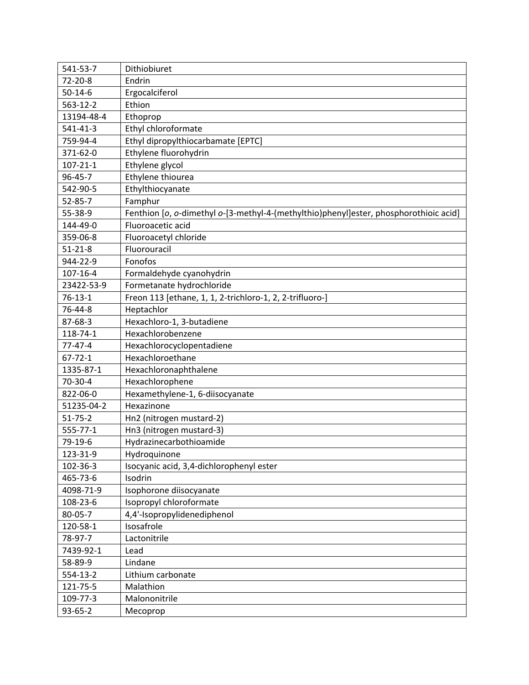| 541-53-7       | Dithiobiuret                                                                          |
|----------------|---------------------------------------------------------------------------------------|
| $72 - 20 - 8$  | Endrin                                                                                |
| $50 - 14 - 6$  | Ergocalciferol                                                                        |
| 563-12-2       | Ethion                                                                                |
| 13194-48-4     | Ethoprop                                                                              |
| 541-41-3       | Ethyl chloroformate                                                                   |
| 759-94-4       | Ethyl dipropylthiocarbamate [EPTC]                                                    |
| 371-62-0       | Ethylene fluorohydrin                                                                 |
| $107 - 21 - 1$ | Ethylene glycol                                                                       |
| 96-45-7        | Ethylene thiourea                                                                     |
| 542-90-5       | Ethylthiocyanate                                                                      |
| $52 - 85 - 7$  | Famphur                                                                               |
| 55-38-9        | Fenthion [o, o-dimethyl o-[3-methyl-4-(methylthio)phenyl]ester, phosphorothioic acid] |
| 144-49-0       | Fluoroacetic acid                                                                     |
| 359-06-8       | Fluoroacetyl chloride                                                                 |
| $51 - 21 - 8$  | Fluorouracil                                                                          |
| 944-22-9       | Fonofos                                                                               |
| 107-16-4       | Formaldehyde cyanohydrin                                                              |
| 23422-53-9     | Formetanate hydrochloride                                                             |
| $76 - 13 - 1$  | Freon 113 [ethane, 1, 1, 2-trichloro-1, 2, 2-trifluoro-]                              |
| 76-44-8        | Heptachlor                                                                            |
| 87-68-3        | Hexachloro-1, 3-butadiene                                                             |
| 118-74-1       | Hexachlorobenzene                                                                     |
| $77 - 47 - 4$  | Hexachlorocyclopentadiene                                                             |
| $67 - 72 - 1$  | Hexachloroethane                                                                      |
| 1335-87-1      | Hexachloronaphthalene                                                                 |
| 70-30-4        | Hexachlorophene                                                                       |
| 822-06-0       | Hexamethylene-1, 6-diisocyanate                                                       |
| 51235-04-2     | Hexazinone                                                                            |
| $51 - 75 - 2$  | Hn2 (nitrogen mustard-2)                                                              |
| 555-77-1       | Hn3 (nitrogen mustard-3)                                                              |
| 79-19-6        | Hydrazinecarbothioamide                                                               |
| 123-31-9       | Hydroquinone                                                                          |
| 102-36-3       | Isocyanic acid, 3,4-dichlorophenyl ester                                              |
| 465-73-6       | Isodrin                                                                               |
| 4098-71-9      | Isophorone diisocyanate                                                               |
| 108-23-6       | Isopropyl chloroformate                                                               |
| 80-05-7        | 4,4'-Isopropylidenediphenol                                                           |
| 120-58-1       | Isosafrole                                                                            |
| 78-97-7        | Lactonitrile                                                                          |
| 7439-92-1      | Lead                                                                                  |
| 58-89-9        | Lindane                                                                               |
| 554-13-2       | Lithium carbonate                                                                     |
| 121-75-5       | Malathion                                                                             |
| 109-77-3       | Malononitrile                                                                         |
| 93-65-2        | Mecoprop                                                                              |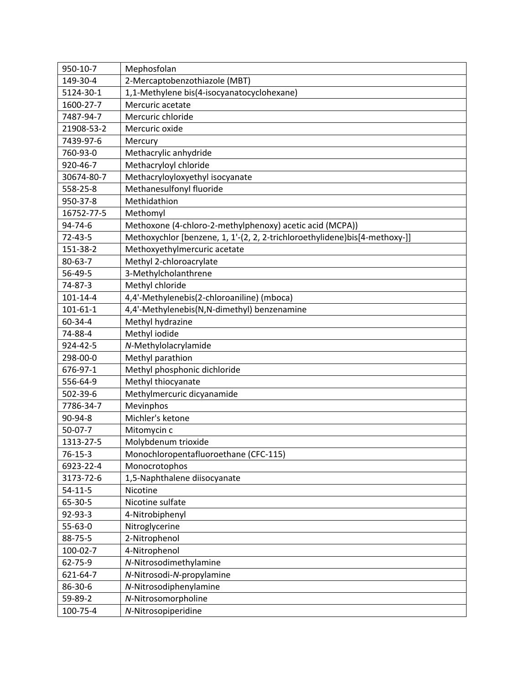| 950-10-7       | Mephosfolan                                                                |
|----------------|----------------------------------------------------------------------------|
| 149-30-4       | 2-Mercaptobenzothiazole (MBT)                                              |
| 5124-30-1      | 1,1-Methylene bis(4-isocyanatocyclohexane)                                 |
| 1600-27-7      | Mercuric acetate                                                           |
| 7487-94-7      | Mercuric chloride                                                          |
| 21908-53-2     | Mercuric oxide                                                             |
| 7439-97-6      | Mercury                                                                    |
| 760-93-0       | Methacrylic anhydride                                                      |
| 920-46-7       | Methacryloyl chloride                                                      |
| 30674-80-7     | Methacryloyloxyethyl isocyanate                                            |
| 558-25-8       | Methanesulfonyl fluoride                                                   |
| 950-37-8       | Methidathion                                                               |
| 16752-77-5     | Methomyl                                                                   |
| $94 - 74 - 6$  | Methoxone (4-chloro-2-methylphenoxy) acetic acid (MCPA))                   |
| $72 - 43 - 5$  | Methoxychlor [benzene, 1, 1'-(2, 2, 2-trichloroethylidene)bis[4-methoxy-]] |
| 151-38-2       | Methoxyethylmercuric acetate                                               |
| $80 - 63 - 7$  | Methyl 2-chloroacrylate                                                    |
| 56-49-5        | 3-Methylcholanthrene                                                       |
| 74-87-3        | Methyl chloride                                                            |
| 101-14-4       | 4,4'-Methylenebis(2-chloroaniline) (mboca)                                 |
| $101 - 61 - 1$ | 4,4'-Methylenebis(N,N-dimethyl) benzenamine                                |
| 60-34-4        | Methyl hydrazine                                                           |
| 74-88-4        | Methyl iodide                                                              |
| 924-42-5       | N-Methylolacrylamide                                                       |
| 298-00-0       | Methyl parathion                                                           |
| 676-97-1       | Methyl phosphonic dichloride                                               |
| 556-64-9       | Methyl thiocyanate                                                         |
| 502-39-6       | Methylmercuric dicyanamide                                                 |
| 7786-34-7      | Mevinphos                                                                  |
| 90-94-8        | Michler's ketone                                                           |
| $50-07-7$      | Mitomycin c                                                                |
| 1313-27-5      | Molybdenum trioxide                                                        |
| $76 - 15 - 3$  | Monochloropentafluoroethane (CFC-115)                                      |
| 6923-22-4      | Monocrotophos                                                              |
| 3173-72-6      | 1,5-Naphthalene diisocyanate                                               |
| $54 - 11 - 5$  | Nicotine                                                                   |
| 65-30-5        | Nicotine sulfate                                                           |
| 92-93-3        | 4-Nitrobiphenyl                                                            |
| $55 - 63 - 0$  | Nitroglycerine                                                             |
| 88-75-5        | 2-Nitrophenol                                                              |
| 100-02-7       | 4-Nitrophenol                                                              |
| 62-75-9        | N-Nitrosodimethylamine                                                     |
| 621-64-7       | N-Nitrosodi-N-propylamine                                                  |
| 86-30-6        | N-Nitrosodiphenylamine                                                     |
| 59-89-2        | N-Nitrosomorpholine                                                        |
| 100-75-4       | N-Nitrosopiperidine                                                        |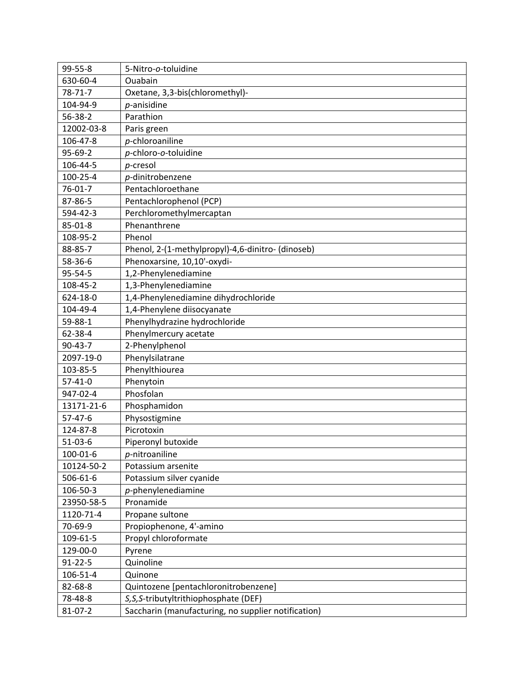| 99-55-8       | 5-Nitro-o-toluidine                                 |
|---------------|-----------------------------------------------------|
| 630-60-4      | Ouabain                                             |
| $78 - 71 - 7$ | Oxetane, 3,3-bis(chloromethyl)-                     |
| 104-94-9      | p-anisidine                                         |
| $56 - 38 - 2$ | Parathion                                           |
| 12002-03-8    | Paris green                                         |
| 106-47-8      | p-chloroaniline                                     |
| 95-69-2       | p-chloro-o-toluidine                                |
| 106-44-5      | p-cresol                                            |
| 100-25-4      | p-dinitrobenzene                                    |
| $76 - 01 - 7$ | Pentachloroethane                                   |
| 87-86-5       | Pentachlorophenol (PCP)                             |
| 594-42-3      | Perchloromethylmercaptan                            |
| 85-01-8       | Phenanthrene                                        |
| 108-95-2      | Phenol                                              |
| 88-85-7       | Phenol, 2-(1-methylpropyl)-4,6-dinitro- (dinoseb)   |
| 58-36-6       | Phenoxarsine, 10,10'-oxydi-                         |
| 95-54-5       | 1,2-Phenylenediamine                                |
| 108-45-2      | 1,3-Phenylenediamine                                |
| 624-18-0      | 1,4-Phenylenediamine dihydrochloride                |
| 104-49-4      | 1,4-Phenylene diisocyanate                          |
| 59-88-1       | Phenylhydrazine hydrochloride                       |
| 62-38-4       | Phenylmercury acetate                               |
| $90 - 43 - 7$ | 2-Phenylphenol                                      |
| 2097-19-0     | Phenylsilatrane                                     |
| 103-85-5      | Phenylthiourea                                      |
| $57 - 41 - 0$ | Phenytoin                                           |
| 947-02-4      | Phosfolan                                           |
| 13171-21-6    | Phosphamidon                                        |
| $57 - 47 - 6$ | Physostigmine                                       |
| 124-87-8      | Picrotoxin                                          |
| $51-03-6$     | Piperonyl butoxide                                  |
| 100-01-6      | $p$ -nitroaniline                                   |
| 10124-50-2    | Potassium arsenite                                  |
| 506-61-6      | Potassium silver cyanide                            |
| 106-50-3      | $p$ -phenylenediamine                               |
| 23950-58-5    | Pronamide                                           |
| 1120-71-4     | Propane sultone                                     |
| 70-69-9       | Propiophenone, 4'-amino                             |
| 109-61-5      | Propyl chloroformate                                |
| 129-00-0      | Pyrene                                              |
| $91 - 22 - 5$ | Quinoline                                           |
| 106-51-4      | Quinone                                             |
| 82-68-8       | Quintozene [pentachloronitrobenzene]                |
| 78-48-8       | S, S, S-tributyltrithiophosphate (DEF)              |
| $81 - 07 - 2$ | Saccharin (manufacturing, no supplier notification) |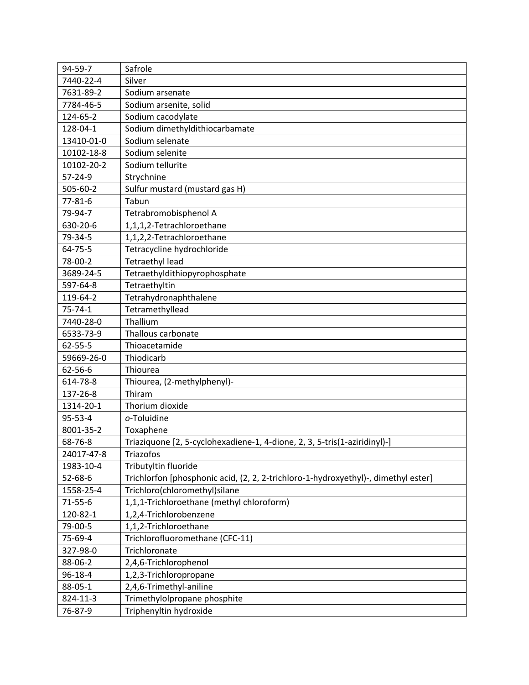| 94-59-7       | Safrole                                                                            |
|---------------|------------------------------------------------------------------------------------|
| 7440-22-4     | Silver                                                                             |
| 7631-89-2     | Sodium arsenate                                                                    |
| 7784-46-5     | Sodium arsenite, solid                                                             |
| 124-65-2      | Sodium cacodylate                                                                  |
| 128-04-1      | Sodium dimethyldithiocarbamate                                                     |
| 13410-01-0    | Sodium selenate                                                                    |
| 10102-18-8    | Sodium selenite                                                                    |
| 10102-20-2    | Sodium tellurite                                                                   |
| 57-24-9       | Strychnine                                                                         |
| 505-60-2      | Sulfur mustard (mustard gas H)                                                     |
| $77 - 81 - 6$ | Tabun                                                                              |
| 79-94-7       | Tetrabromobisphenol A                                                              |
| 630-20-6      | 1,1,1,2-Tetrachloroethane                                                          |
| 79-34-5       | 1,1,2,2-Tetrachloroethane                                                          |
| 64-75-5       | Tetracycline hydrochloride                                                         |
| 78-00-2       | <b>Tetraethyl lead</b>                                                             |
| 3689-24-5     | Tetraethyldithiopyrophosphate                                                      |
| 597-64-8      | Tetraethyltin                                                                      |
| 119-64-2      | Tetrahydronaphthalene                                                              |
| $75 - 74 - 1$ | Tetramethyllead                                                                    |
| 7440-28-0     | Thallium                                                                           |
| 6533-73-9     | Thallous carbonate                                                                 |
| $62 - 55 - 5$ | Thioacetamide                                                                      |
| 59669-26-0    | Thiodicarb                                                                         |
| 62-56-6       | Thiourea                                                                           |
| 614-78-8      | Thiourea, (2-methylphenyl)-                                                        |
| 137-26-8      | Thiram                                                                             |
| 1314-20-1     | Thorium dioxide                                                                    |
| 95-53-4       | o-Toluidine                                                                        |
| 8001-35-2     | Toxaphene                                                                          |
| 68-76-8       | Triaziquone [2, 5-cyclohexadiene-1, 4-dione, 2, 3, 5-tris(1-aziridinyl)-]          |
| 24017-47-8    | Triazofos                                                                          |
| 1983-10-4     | Tributyltin fluoride                                                               |
| $52 - 68 - 6$ | Trichlorfon [phosphonic acid, (2, 2, 2-trichloro-1-hydroxyethyl)-, dimethyl ester] |
| 1558-25-4     | Trichloro(chloromethyl)silane                                                      |
| $71 - 55 - 6$ | 1,1,1-Trichloroethane (methyl chloroform)                                          |
| 120-82-1      | 1,2,4-Trichlorobenzene                                                             |
| 79-00-5       | 1,1,2-Trichloroethane                                                              |
| 75-69-4       | Trichlorofluoromethane (CFC-11)                                                    |
| 327-98-0      | Trichloronate                                                                      |
| 88-06-2       | 2,4,6-Trichlorophenol                                                              |
| 96-18-4       | 1,2,3-Trichloropropane                                                             |
| 88-05-1       | 2,4,6-Trimethyl-aniline                                                            |
| 824-11-3      | Trimethylolpropane phosphite                                                       |
| 76-87-9       | Triphenyltin hydroxide                                                             |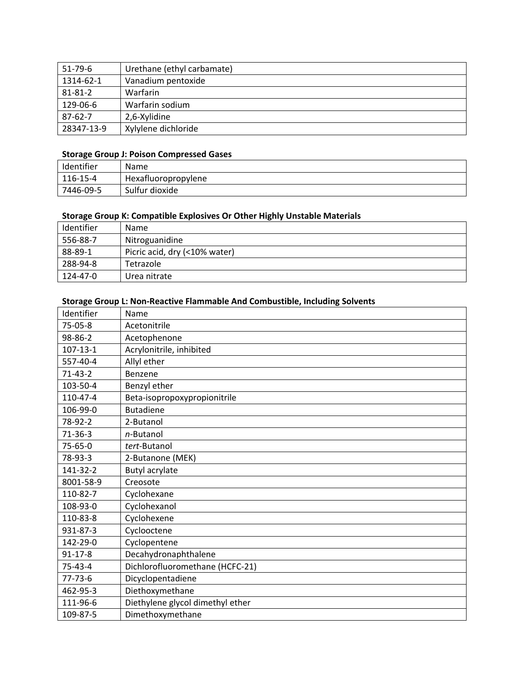| $51 - 79 - 6$ | Urethane (ethyl carbamate) |
|---------------|----------------------------|
| 1314-62-1     | Vanadium pentoxide         |
| $81 - 81 - 2$ | Warfarin                   |
| 129-06-6      | Warfarin sodium            |
| $87 - 62 - 7$ | 2,6-Xylidine               |
| 28347-13-9    | Xylylene dichloride        |

### **Storage Group J: Poison Compressed Gases**

| Identifier | Name                |
|------------|---------------------|
| 116-15-4   | Hexafluoropropylene |
| 7446-09-5  | Sulfur dioxide      |

#### **Storage Group K: Compatible Explosives Or Other Highly Unstable Materials**

| Identifier | <b>Name</b>                   |
|------------|-------------------------------|
| 556-88-7   | Nitroguanidine                |
| 88-89-1    | Picric acid, dry (<10% water) |
| 288-94-8   | Tetrazole                     |
| 124-47-0   | Urea nitrate                  |

### **Storage Group L: Non‐Reactive Flammable And Combustible, Including Solvents**

| Identifier     | Name                             |
|----------------|----------------------------------|
| $75-05-8$      | Acetonitrile                     |
| 98-86-2        | Acetophenone                     |
| $107 - 13 - 1$ | Acrylonitrile, inhibited         |
| 557-40-4       | Allyl ether                      |
| $71-43-2$      | Benzene                          |
| 103-50-4       | Benzyl ether                     |
| 110-47-4       | Beta-isopropoxypropionitrile     |
| 106-99-0       | <b>Butadiene</b>                 |
| 78-92-2        | 2-Butanol                        |
| $71-36-3$      | $n$ -Butanol                     |
| 75-65-0        | tert-Butanol                     |
| 78-93-3        | 2-Butanone (MEK)                 |
| 141-32-2       | <b>Butyl acrylate</b>            |
| 8001-58-9      | Creosote                         |
| 110-82-7       | Cyclohexane                      |
| 108-93-0       | Cyclohexanol                     |
| 110-83-8       | Cyclohexene                      |
| 931-87-3       | Cyclooctene                      |
| 142-29-0       | Cyclopentene                     |
| $91 - 17 - 8$  | Decahydronaphthalene             |
| 75-43-4        | Dichlorofluoromethane (HCFC-21)  |
| $77 - 73 - 6$  | Dicyclopentadiene                |
| 462-95-3       | Diethoxymethane                  |
| 111-96-6       | Diethylene glycol dimethyl ether |
| 109-87-5       | Dimethoxymethane                 |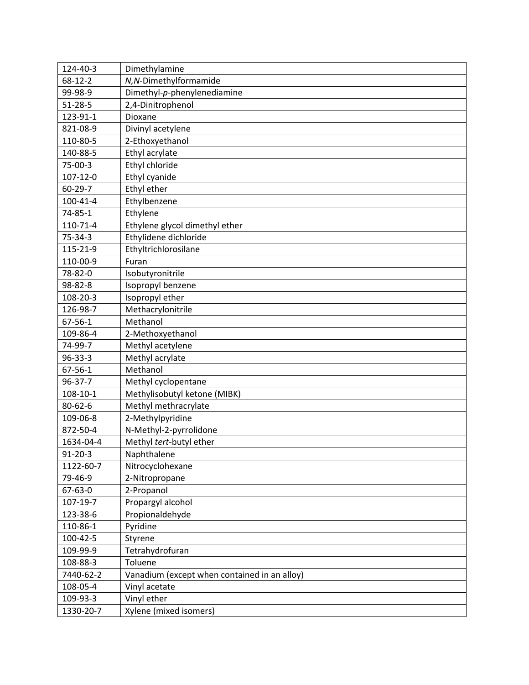| 124-40-3       | Dimethylamine                                |
|----------------|----------------------------------------------|
| $68 - 12 - 2$  | N, N-Dimethylformamide                       |
| 99-98-9        | Dimethyl-p-phenylenediamine                  |
| $51 - 28 - 5$  | 2,4-Dinitrophenol                            |
| 123-91-1       | Dioxane                                      |
| 821-08-9       | Divinyl acetylene                            |
| 110-80-5       | 2-Ethoxyethanol                              |
| 140-88-5       | Ethyl acrylate                               |
| 75-00-3        | Ethyl chloride                               |
| $107 - 12 - 0$ | Ethyl cyanide                                |
| $60 - 29 - 7$  | Ethyl ether                                  |
| $100 - 41 - 4$ | Ethylbenzene                                 |
| 74-85-1        | Ethylene                                     |
| 110-71-4       | Ethylene glycol dimethyl ether               |
| $75 - 34 - 3$  | Ethylidene dichloride                        |
| 115-21-9       | Ethyltrichlorosilane                         |
| 110-00-9       | Furan                                        |
| 78-82-0        | Isobutyronitrile                             |
| 98-82-8        | Isopropyl benzene                            |
| 108-20-3       | Isopropyl ether                              |
| 126-98-7       | Methacrylonitrile                            |
| $67 - 56 - 1$  | Methanol                                     |
| 109-86-4       | 2-Methoxyethanol                             |
| 74-99-7        | Methyl acetylene                             |
| 96-33-3        | Methyl acrylate                              |
| $67 - 56 - 1$  | Methanol                                     |
| 96-37-7        | Methyl cyclopentane                          |
| 108-10-1       | Methylisobutyl ketone (MIBK)                 |
| $80 - 62 - 6$  | Methyl methracrylate                         |
| 109-06-8       | 2-Methylpyridine                             |
| 872-50-4       | N-Methyl-2-pyrrolidone                       |
| 1634-04-4      | Methyl tert-butyl ether                      |
| $91 - 20 - 3$  | Naphthalene                                  |
| 1122-60-7      | Nitrocyclohexane                             |
| 79-46-9        | 2-Nitropropane                               |
| 67-63-0        | 2-Propanol                                   |
| 107-19-7       | Propargyl alcohol                            |
| 123-38-6       | Propionaldehyde                              |
| 110-86-1       | Pyridine                                     |
| 100-42-5       | Styrene                                      |
| 109-99-9       | Tetrahydrofuran                              |
| 108-88-3       | Toluene                                      |
| 7440-62-2      | Vanadium (except when contained in an alloy) |
| 108-05-4       | Vinyl acetate                                |
| 109-93-3       | Vinyl ether                                  |
| 1330-20-7      | Xylene (mixed isomers)                       |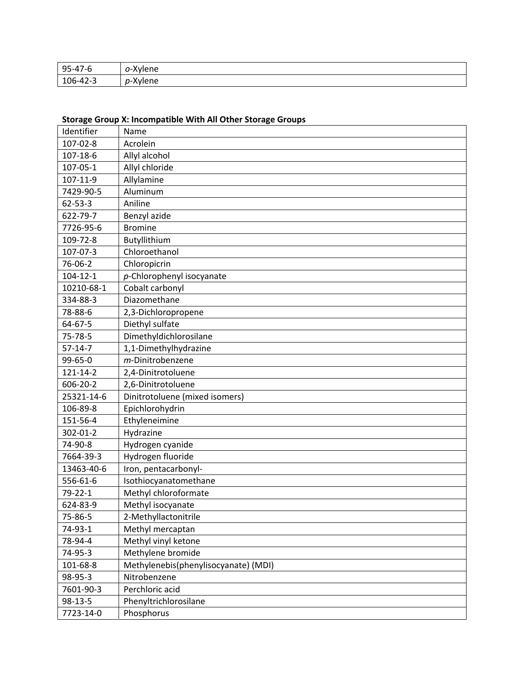| $\Omega$                                             | $\sim$ $\sim$ $\sim$           |
|------------------------------------------------------|--------------------------------|
| $\overline{\phantom{a}}$                             | ene                            |
| -                                                    | .                              |
| ں ر                                                  | . .                            |
| $\sim$<br>10 <sup>c</sup><br>,, , <u>.</u> .<br>r. J | $\sqrt{2}$<br>~~~<br>iene<br>. |

## **Storage Group X: Incompatible With All Other Storage Groups**

| Identifier     | Name                                 |
|----------------|--------------------------------------|
| 107-02-8       | Acrolein                             |
| 107-18-6       | Allyl alcohol                        |
| 107-05-1       | Allyl chloride                       |
| 107-11-9       | Allylamine                           |
| 7429-90-5      | Aluminum                             |
| $62 - 53 - 3$  | Aniline                              |
| 622-79-7       | Benzyl azide                         |
| 7726-95-6      | <b>Bromine</b>                       |
| 109-72-8       | Butyllithium                         |
| 107-07-3       | Chloroethanol                        |
| 76-06-2        | Chloropicrin                         |
| $104 - 12 - 1$ | $p$ -Chlorophenyl isocyanate         |
| 10210-68-1     | Cobalt carbonyl                      |
| 334-88-3       | Diazomethane                         |
| 78-88-6        | 2,3-Dichloropropene                  |
| 64-67-5        | Diethyl sulfate                      |
| 75-78-5        | Dimethyldichlorosilane               |
| $57 - 14 - 7$  | 1,1-Dimethylhydrazine                |
| 99-65-0        | m-Dinitrobenzene                     |
| 121-14-2       | 2,4-Dinitrotoluene                   |
| 606-20-2       | 2,6-Dinitrotoluene                   |
| 25321-14-6     | Dinitrotoluene (mixed isomers)       |
| 106-89-8       | Epichlorohydrin                      |
| 151-56-4       | Ethyleneimine                        |
| 302-01-2       | Hydrazine                            |
| 74-90-8        | Hydrogen cyanide                     |
| 7664-39-3      | Hydrogen fluoride                    |
| 13463-40-6     | Iron, pentacarbonyl-                 |
| 556-61-6       | Isothiocyanatomethane                |
| $79 - 22 - 1$  | Methyl chloroformate                 |
| 624-83-9       | Methyl isocyanate                    |
| 75-86-5        | 2-Methyllactonitrile                 |
| 74-93-1        | Methyl mercaptan                     |
| 78-94-4        | Methyl vinyl ketone                  |
| 74-95-3        | Methylene bromide                    |
| 101-68-8       | Methylenebis(phenylisocyanate) (MDI) |
| 98-95-3        | Nitrobenzene                         |
| 7601-90-3      | Perchloric acid                      |
| $98 - 13 - 5$  | Phenyltrichlorosilane                |
| 7723-14-0      | Phosphorus                           |